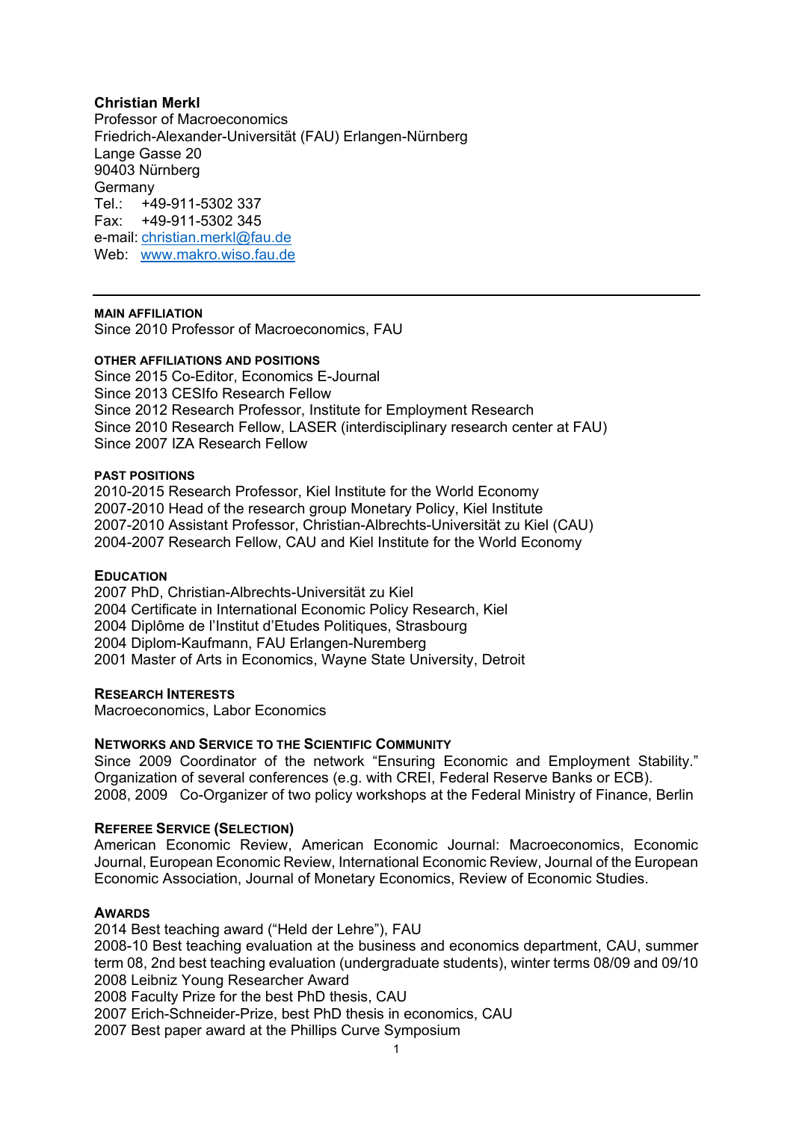## **Christian Merkl**

Professor of Macroeconomics Friedrich-Alexander-Universität (FAU) Erlangen-Nürnberg Lange Gasse 20 90403 Nürnberg Germany Tel.: +49-911-5302 337 Fax: +49-911-5302 345 e-mail: [christian.merkl@fau.de](mailto:christian.merkl@fau.de) Web: [www.makro.wiso.fau.de](http://www.makro.wiso.fau.de/)

#### **MAIN AFFILIATION**

Since 2010 Professor of Macroeconomics, FAU

#### **OTHER AFFILIATIONS AND POSITIONS**

Since 2015 Co-Editor, Economics E-Journal Since 2013 CESIfo Research Fellow Since 2012 Research Professor, Institute for Employment Research Since 2010 Research Fellow, LASER (interdisciplinary research center at FAU) Since 2007 IZA Research Fellow

#### **PAST POSITIONS**

2010-2015 Research Professor, Kiel Institute for the World Economy 2007-2010 Head of the research group Monetary Policy, Kiel Institute 2007-2010 Assistant Professor, Christian-Albrechts-Universität zu Kiel (CAU) 2004-2007 Research Fellow, CAU and Kiel Institute for the World Economy

#### **EDUCATION**

2007 PhD, Christian-Albrechts-Universität zu Kiel 2004 Certificate in International Economic Policy Research, Kiel 2004 Diplôme de l'Institut d'Etudes Politiques, Strasbourg 2004 Diplom-Kaufmann, FAU Erlangen-Nuremberg 2001 Master of Arts in Economics, Wayne State University, Detroit

## **RESEARCH INTERESTS**

Macroeconomics, Labor Economics

## **NETWORKS AND SERVICE TO THE SCIENTIFIC COMMUNITY**

Since 2009 Coordinator of the network "Ensuring Economic and Employment Stability." Organization of several conferences (e.g. with CREI, Federal Reserve Banks or ECB). 2008, 2009 Co-Organizer of two policy workshops at the Federal Ministry of Finance, Berlin

## **REFEREE SERVICE (SELECTION)**

American Economic Review, American Economic Journal: Macroeconomics, Economic Journal, European Economic Review, International Economic Review, Journal of the European Economic Association, Journal of Monetary Economics, Review of Economic Studies.

## **AWARDS**

2014 Best teaching award ("Held der Lehre"), FAU 2008-10 Best teaching evaluation at the business and economics department, CAU, summer term 08, 2nd best teaching evaluation (undergraduate students), winter terms 08/09 and 09/10 2008 Leibniz Young Researcher Award 2008 Faculty Prize for the best PhD thesis, CAU 2007 Erich-Schneider-Prize, best PhD thesis in economics, CAU 2007 Best paper award at the Phillips Curve Symposium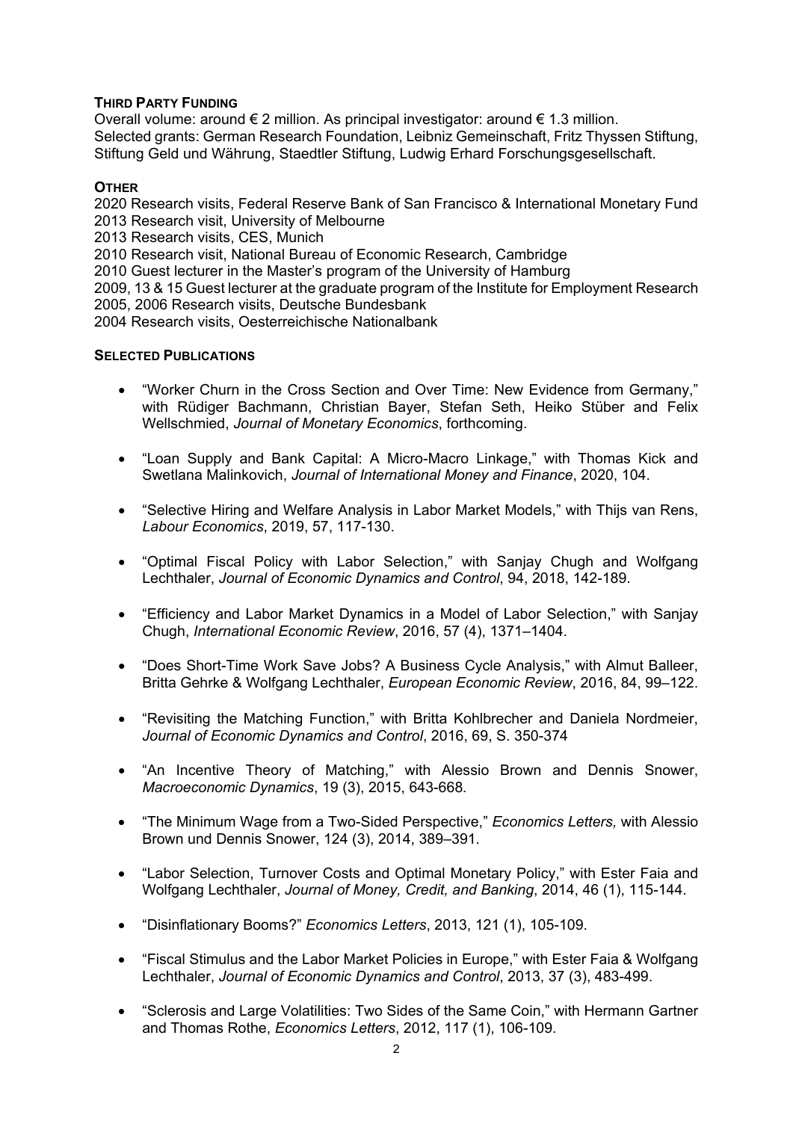## **THIRD PARTY FUNDING**

Overall volume: around € 2 million. As principal investigator: around € 1.3 million. Selected grants: German Research Foundation, Leibniz Gemeinschaft, Fritz Thyssen Stiftung, Stiftung Geld und Währung, Staedtler Stiftung, Ludwig Erhard Forschungsgesellschaft.

# **OTHER**

2020 Research visits, Federal Reserve Bank of San Francisco & International Monetary Fund 2013 Research visit, University of Melbourne

2013 Research visits, CES, Munich

2010 Research visit, National Bureau of Economic Research, Cambridge

2010 Guest lecturer in the Master's program of the University of Hamburg

2009, 13 & 15 Guest lecturer at the graduate program of the Institute for Employment Research 2005, 2006 Research visits, Deutsche Bundesbank

2004 Research visits, Oesterreichische Nationalbank

# **SELECTED PUBLICATIONS**

- "Worker Churn in the Cross Section and Over Time: New Evidence from Germany," with Rüdiger Bachmann, Christian Bayer, Stefan Seth, Heiko Stüber and Felix Wellschmied, *Journal of Monetary Economics*, forthcoming.
- "Loan Supply and Bank Capital: A Micro-Macro Linkage," with Thomas Kick and Swetlana Malinkovich, *Journal of International Money and Finance*, 2020, 104.
- "Selective Hiring and Welfare Analysis in Labor Market Models," with Thijs van Rens, *Labour Economics*, 2019, 57, 117-130.
- "Optimal Fiscal Policy with Labor Selection," with Sanjay Chugh and Wolfgang Lechthaler, *Journal of Economic Dynamics and Control*, 94, 2018, 142-189.
- "Efficiency and Labor Market Dynamics in a Model of Labor Selection," with Sanjay Chugh, *International Economic Review*, 2016, 57 (4), 1371–1404.
- "Does Short-Time Work Save Jobs? A Business Cycle Analysis," with Almut Balleer, Britta Gehrke & Wolfgang Lechthaler, *European Economic Review*, 2016, 84, 99–122.
- "Revisiting the Matching Function," with Britta Kohlbrecher and Daniela Nordmeier, *Journal of Economic Dynamics and Control*, 2016, 69, S. 350-374
- "An Incentive Theory of Matching," with Alessio Brown and Dennis Snower, *Macroeconomic Dynamics*, 19 (3), 2015, 643-668*.*
- "The Minimum Wage from a Two-Sided Perspective," *Economics Letters,* with Alessio Brown und Dennis Snower, 124 (3), 2014, 389–391*.*
- "Labor Selection, Turnover Costs and Optimal Monetary Policy," with Ester Faia and Wolfgang Lechthaler, *Journal of Money, Credit, and Banking*, 2014, 46 (1), 115-144.
- "Disinflationary Booms?" *Economics Letters*, 2013, 121 (1), 105-109.
- "Fiscal Stimulus and the Labor Market Policies in Europe," with Ester Faia & Wolfgang Lechthaler, *Journal of Economic Dynamics and Control*, 2013, 37 (3), 483-499.
- "Sclerosis and Large Volatilities: Two Sides of the Same Coin," with Hermann Gartner and Thomas Rothe, *Economics Letters*, 2012, 117 (1), 106-109.